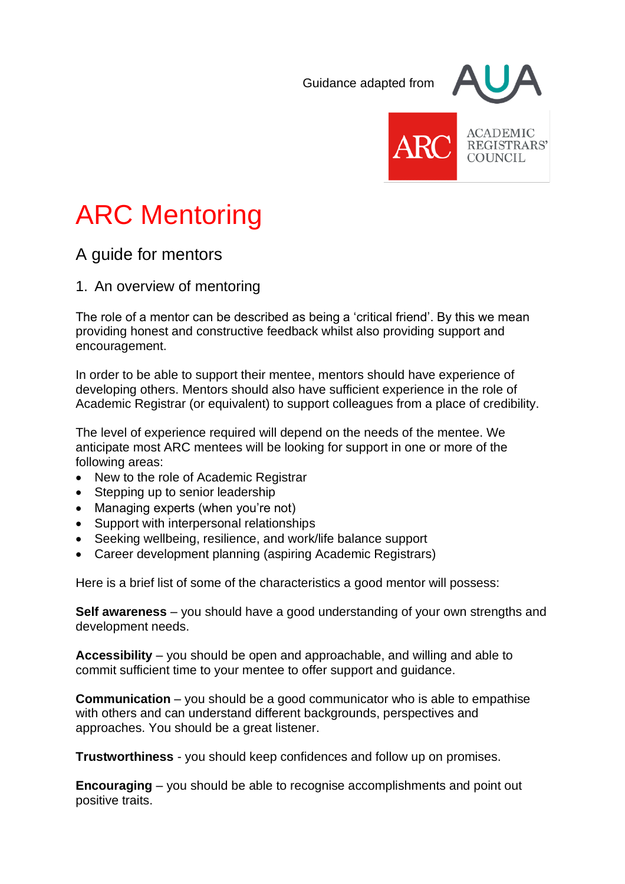Guidance adapted from





**ACADEMIC** REGISTRARS' COUNCIL

# ARC Mentoring

# A guide for mentors

1. An overview of mentoring

The role of a mentor can be described as being a 'critical friend'. By this we mean providing honest and constructive feedback whilst also providing support and encouragement.

In order to be able to support their mentee, mentors should have experience of developing others. Mentors should also have sufficient experience in the role of Academic Registrar (or equivalent) to support colleagues from a place of credibility.

The level of experience required will depend on the needs of the mentee. We anticipate most ARC mentees will be looking for support in one or more of the following areas:

- New to the role of Academic Registrar
- Stepping up to senior leadership
- Managing experts (when you're not)
- Support with interpersonal relationships
- Seeking wellbeing, resilience, and work/life balance support
- Career development planning (aspiring Academic Registrars)

Here is a brief list of some of the characteristics a good mentor will possess:

**Self awareness** – you should have a good understanding of your own strengths and development needs.

**Accessibility** – you should be open and approachable, and willing and able to commit sufficient time to your mentee to offer support and guidance.

**Communication** – you should be a good communicator who is able to empathise with others and can understand different backgrounds, perspectives and approaches. You should be a great listener.

**Trustworthiness** - you should keep confidences and follow up on promises.

**Encouraging** – you should be able to recognise accomplishments and point out positive traits.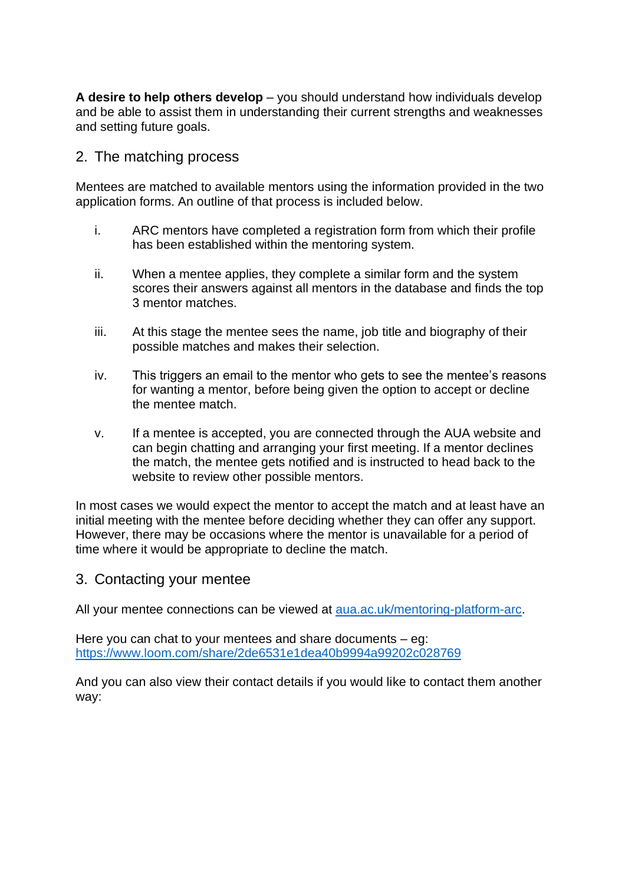**A desire to help others develop** – you should understand how individuals develop and be able to assist them in understanding their current strengths and weaknesses and setting future goals.

## 2. The matching process

Mentees are matched to available mentors using the information provided in the two application forms. An outline of that process is included below.

- i. ARC mentors have completed a registration form from which their profile has been established within the mentoring system.
- ii. When a mentee applies, they complete a similar form and the system scores their answers against all mentors in the database and finds the top 3 mentor matches.
- iii. At this stage the mentee sees the name, job title and biography of their possible matches and makes their selection.
- iv. This triggers an email to the mentor who gets to see the mentee's reasons for wanting a mentor, before being given the option to accept or decline the mentee match.
- v. If a mentee is accepted, you are connected through the AUA website and can begin chatting and arranging your first meeting. If a mentor declines the match, the mentee gets notified and is instructed to head back to the website to review other possible mentors.

In most cases we would expect the mentor to accept the match and at least have an initial meeting with the mentee before deciding whether they can offer any support. However, there may be occasions where the mentor is unavailable for a period of time where it would be appropriate to decline the match.

#### 3. Contacting your mentee

All your mentee connections can be viewed at [aua.ac.uk/mentoring-platform-](http://www.aua.ac.uk/mentoring-platform)arc.

Here you can chat to your mentees and share documents – eg: <https://www.loom.com/share/2de6531e1dea40b9994a99202c028769>

And you can also view their contact details if you would like to contact them another way: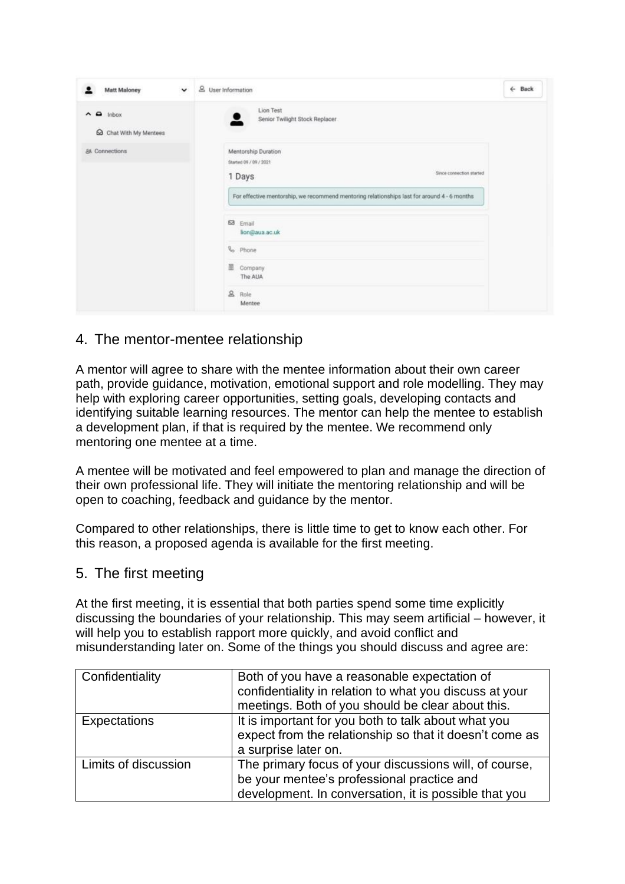| <b>Matt Maloney</b>                            | $\check{ }$ | & User Information                                                                                                                                                                 | $\leftarrow$ Back |
|------------------------------------------------|-------------|------------------------------------------------------------------------------------------------------------------------------------------------------------------------------------|-------------------|
| $\land$ $\Omega$ inbox<br>Chat With My Mentees |             | Lion Test<br>Senior Twilight Stock Replacer                                                                                                                                        |                   |
| 88 Connections                                 |             | Mentorship Duration<br>Started 09 / 09 / 2021<br>Since connection started<br>1 Days<br>For effective mentorship, we recommend mentoring relationships last for around 4 - 6 months |                   |
|                                                |             | <b>63</b> Email<br>lion@aua.ac.uk<br>& Phone                                                                                                                                       |                   |
|                                                |             | 囲<br>Company<br>The AUA                                                                                                                                                            |                   |
|                                                |             | & Role<br>Mentee                                                                                                                                                                   |                   |

# 4. The mentor-mentee relationship

A mentor will agree to share with the mentee information about their own career path, provide guidance, motivation, emotional support and role modelling. They may help with exploring career opportunities, setting goals, developing contacts and identifying suitable learning resources. The mentor can help the mentee to establish a development plan, if that is required by the mentee. We recommend only mentoring one mentee at a time.

A mentee will be motivated and feel empowered to plan and manage the direction of their own professional life. They will initiate the mentoring relationship and will be open to coaching, feedback and guidance by the mentor.

Compared to other relationships, there is little time to get to know each other. For this reason, a proposed agenda is available for the first meeting.

## 5. The first meeting

At the first meeting, it is essential that both parties spend some time explicitly discussing the boundaries of your relationship. This may seem artificial – however, it will help you to establish rapport more quickly, and avoid conflict and misunderstanding later on. Some of the things you should discuss and agree are:

| Confidentiality      | Both of you have a reasonable expectation of<br>confidentiality in relation to what you discuss at your<br>meetings. Both of you should be clear about this.  |
|----------------------|---------------------------------------------------------------------------------------------------------------------------------------------------------------|
| Expectations         | It is important for you both to talk about what you<br>expect from the relationship so that it doesn't come as<br>a surprise later on.                        |
| Limits of discussion | The primary focus of your discussions will, of course,<br>be your mentee's professional practice and<br>development. In conversation, it is possible that you |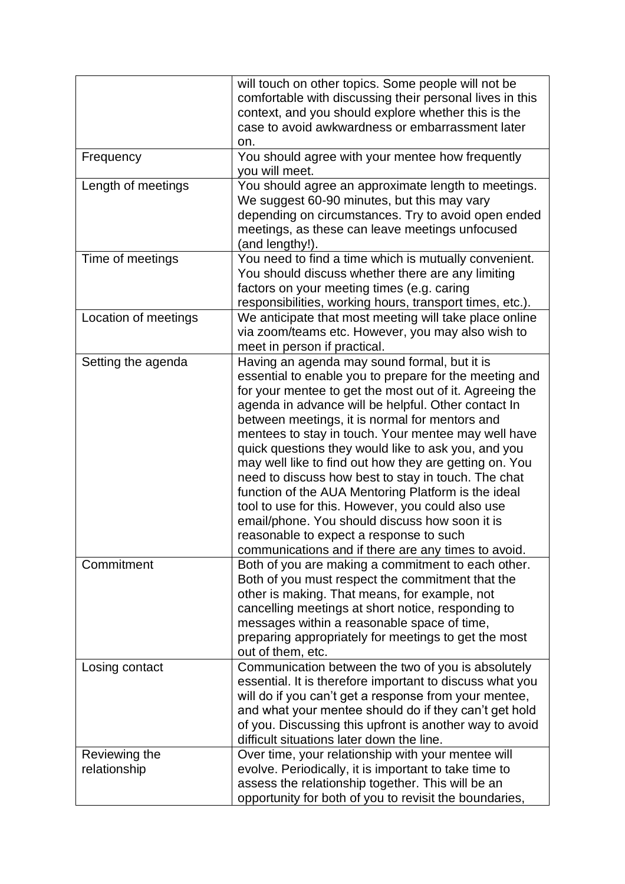|                               | will touch on other topics. Some people will not be<br>comfortable with discussing their personal lives in this<br>context, and you should explore whether this is the<br>case to avoid awkwardness or embarrassment later<br>on.                                                                                                                                                                                                                                                                                                                                                                                                                                                                                                                                         |
|-------------------------------|---------------------------------------------------------------------------------------------------------------------------------------------------------------------------------------------------------------------------------------------------------------------------------------------------------------------------------------------------------------------------------------------------------------------------------------------------------------------------------------------------------------------------------------------------------------------------------------------------------------------------------------------------------------------------------------------------------------------------------------------------------------------------|
| Frequency                     | You should agree with your mentee how frequently<br>you will meet.                                                                                                                                                                                                                                                                                                                                                                                                                                                                                                                                                                                                                                                                                                        |
| Length of meetings            | You should agree an approximate length to meetings.<br>We suggest 60-90 minutes, but this may vary<br>depending on circumstances. Try to avoid open ended<br>meetings, as these can leave meetings unfocused<br>(and lengthy!).                                                                                                                                                                                                                                                                                                                                                                                                                                                                                                                                           |
| Time of meetings              | You need to find a time which is mutually convenient.<br>You should discuss whether there are any limiting<br>factors on your meeting times (e.g. caring<br>responsibilities, working hours, transport times, etc.).                                                                                                                                                                                                                                                                                                                                                                                                                                                                                                                                                      |
| Location of meetings          | We anticipate that most meeting will take place online<br>via zoom/teams etc. However, you may also wish to<br>meet in person if practical.                                                                                                                                                                                                                                                                                                                                                                                                                                                                                                                                                                                                                               |
| Setting the agenda            | Having an agenda may sound formal, but it is<br>essential to enable you to prepare for the meeting and<br>for your mentee to get the most out of it. Agreeing the<br>agenda in advance will be helpful. Other contact In<br>between meetings, it is normal for mentors and<br>mentees to stay in touch. Your mentee may well have<br>quick questions they would like to ask you, and you<br>may well like to find out how they are getting on. You<br>need to discuss how best to stay in touch. The chat<br>function of the AUA Mentoring Platform is the ideal<br>tool to use for this. However, you could also use<br>email/phone. You should discuss how soon it is<br>reasonable to expect a response to such<br>communications and if there are any times to avoid. |
| Commitment                    | Both of you are making a commitment to each other.<br>Both of you must respect the commitment that the<br>other is making. That means, for example, not<br>cancelling meetings at short notice, responding to<br>messages within a reasonable space of time,<br>preparing appropriately for meetings to get the most<br>out of them, etc.                                                                                                                                                                                                                                                                                                                                                                                                                                 |
| Losing contact                | Communication between the two of you is absolutely<br>essential. It is therefore important to discuss what you<br>will do if you can't get a response from your mentee,<br>and what your mentee should do if they can't get hold<br>of you. Discussing this upfront is another way to avoid<br>difficult situations later down the line.                                                                                                                                                                                                                                                                                                                                                                                                                                  |
| Reviewing the<br>relationship | Over time, your relationship with your mentee will<br>evolve. Periodically, it is important to take time to<br>assess the relationship together. This will be an<br>opportunity for both of you to revisit the boundaries,                                                                                                                                                                                                                                                                                                                                                                                                                                                                                                                                                |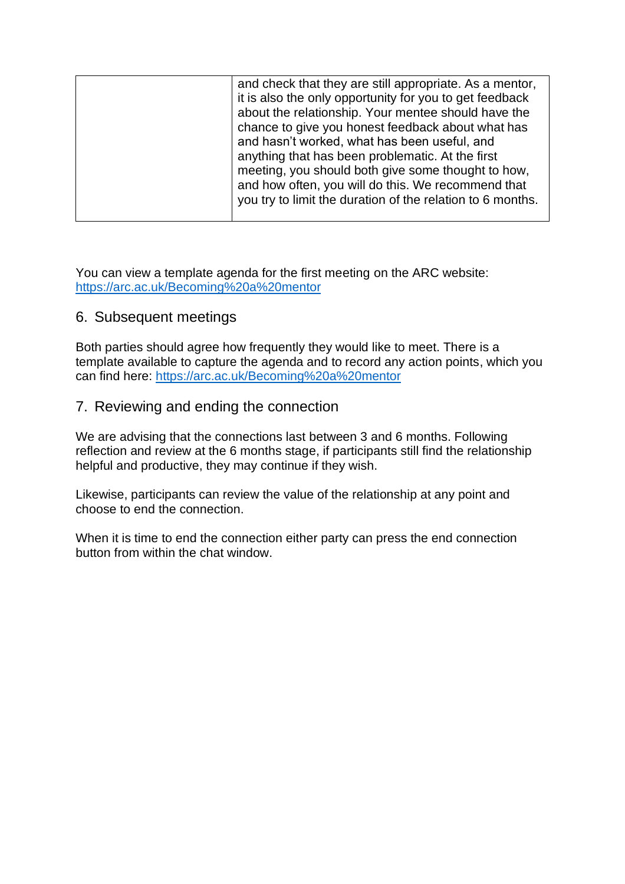| and check that they are still appropriate. As a mentor,    |
|------------------------------------------------------------|
| it is also the only opportunity for you to get feedback    |
| about the relationship. Your mentee should have the        |
| chance to give you honest feedback about what has          |
| and hasn't worked, what has been useful, and               |
| anything that has been problematic. At the first           |
| meeting, you should both give some thought to how,         |
| and how often, you will do this. We recommend that         |
| you try to limit the duration of the relation to 6 months. |
|                                                            |

You can view a template agenda for the first meeting on the ARC website: <https://arc.ac.uk/Becoming%20a%20mentor>

## 6. Subsequent meetings

Both parties should agree how frequently they would like to meet. There is a template available to capture the agenda and to record any action points, which you can find here: <https://arc.ac.uk/Becoming%20a%20mentor>

## 7. Reviewing and ending the connection

We are advising that the connections last between 3 and 6 months. Following reflection and review at the 6 months stage, if participants still find the relationship helpful and productive, they may continue if they wish.

Likewise, participants can review the value of the relationship at any point and choose to end the connection.

When it is time to end the connection either party can press the end connection button from within the chat window.